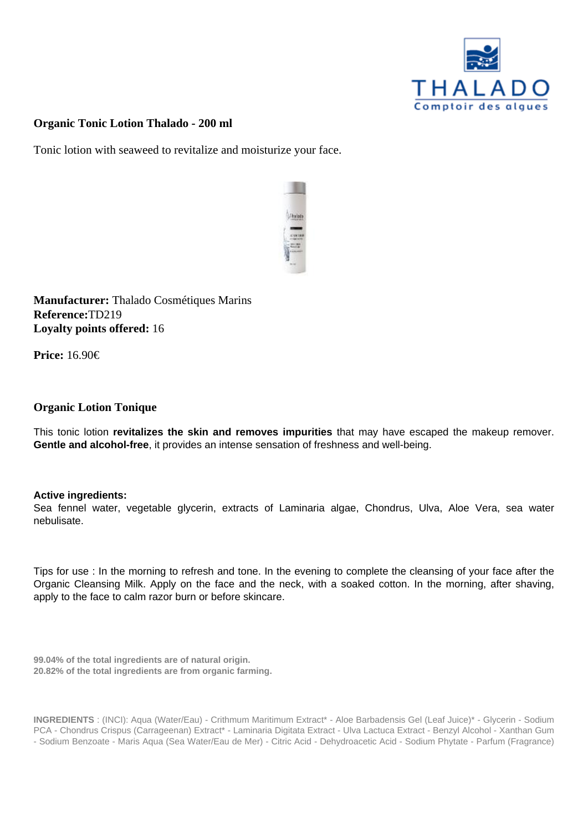Organic Tonic Lotion Thalado - 200 ml

Tonic lotion with seaweed to revitalize and moisturize your face.

Manufacturer: Thalado Cosmétiques Marins Reference:TD219 Loyalty points offered: 16

Price: 16.90€

## Organic Lotion Tonique

This tonic lotion revitalizes the skin and removes impurities that may have escaped the makeup remover. Gentle and alcohol-free , it provides an intense sensation of freshness and well-being.

Active ingredients:

Sea fennel water, vegetable glycerin, extracts of Laminaria algae, Chondrus, Ulva, Aloe Vera, sea water nebulisate.

Tips for use : In the morning to refresh and tone. In the evening to complete the cleansing of your face after the Organic Cleansing Milk. Apply on the face and the neck, with a soaked cotton. In the morning, after shaving, apply to the face to calm razor burn or before skincare.

99.04% of the total ingredients are of natural origin. 20.82% of the total ingredients are from organic farming.

INGREDIENTS : (INCI): Aqua (Water/Eau) - Crithmum Maritimum Extract\* - Aloe Barbadensis Gel (Leaf Juice)\* - Glycerin - Sodium PCA - Chondrus Crispus (Carrageenan) Extract\* - Laminaria Digitata Extract - Ulva Lactuca Extract - Benzyl Alcohol - Xanthan Gum - Sodium Benzoate - Maris Aqua (Sea Water/Eau de Mer) - Citric Acid - Dehydroacetic Acid - Sodium Phytate - Parfum (Fragrance)